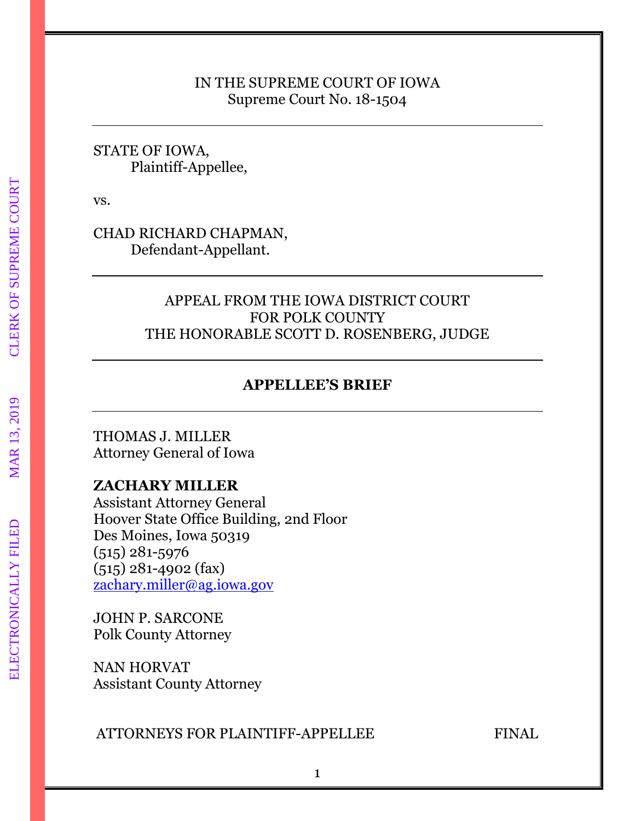# IN THE SUPREME COURT OF IOWA Supreme Court No. 18-1504

# STATE OF IOWA, Plaintiff-Appellee,

vs.

CHAD RICHARD CHAPMAN, Defendant-Appellant.

# APPEAL FROM THE IOWA DISTRICT COURT FOR POLK COUNTY THE HONORABLE SCOTT D. ROSENBERG, JUDGE

# **APPELLEE'S BRIEF**

THOMAS J. MILLER Attorney General of Iowa

# **ZACHARY MILLER**

Assistant Attorney General Hoover State Office Building, 2nd Floor Des Moines, Iowa 50319 (515) 281-5976 (515) 281-4902 (fax) [zachary.miller@ag.iowa.gov](mailto:zachary.miller@ag.iowa.gov)

JOHN P. SARCONE Polk County Attorney

NAN HORVAT Assistant County Attorney

# ATTORNEYS FOR PLAINTIFF-APPELLEE FINAL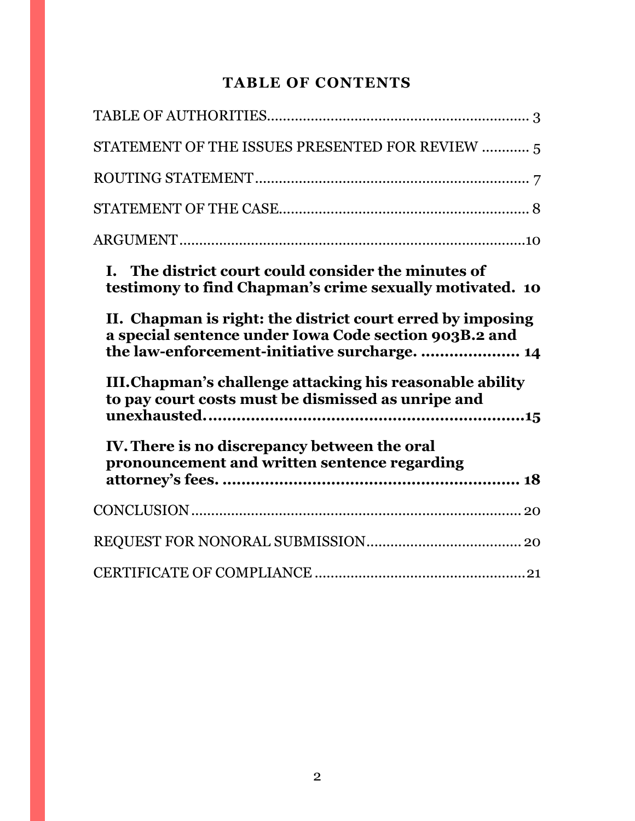# **TABLE OF CONTENTS**

| STATEMENT OF THE ISSUES PRESENTED FOR REVIEW  5                                                                                                                      |
|----------------------------------------------------------------------------------------------------------------------------------------------------------------------|
|                                                                                                                                                                      |
|                                                                                                                                                                      |
|                                                                                                                                                                      |
| I. The district court could consider the minutes of<br>testimony to find Chapman's crime sexually motivated. 10                                                      |
| II. Chapman is right: the district court erred by imposing<br>a special sentence under Iowa Code section 903B.2 and<br>the law-enforcement-initiative surcharge.  14 |
| III. Chapman's challenge attacking his reasonable ability<br>to pay court costs must be dismissed as unripe and                                                      |
| IV. There is no discrepancy between the oral<br>pronouncement and written sentence regarding                                                                         |
|                                                                                                                                                                      |
|                                                                                                                                                                      |
|                                                                                                                                                                      |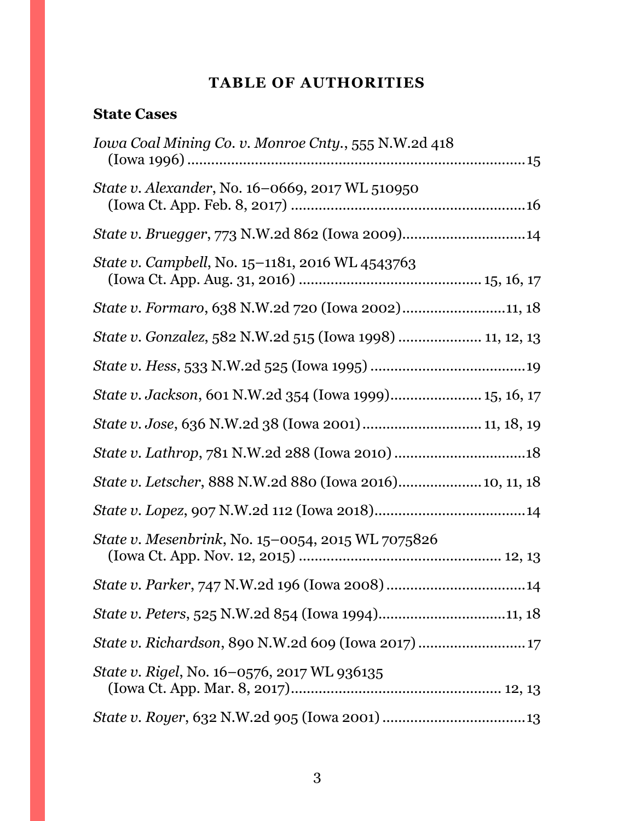# **TABLE OF AUTHORITIES**

# <span id="page-2-0"></span>**State Cases**

| Iowa Coal Mining Co. v. Monroe Cnty., 555 N.W.2d 418      |
|-----------------------------------------------------------|
| State v. Alexander, No. 16-0669, 2017 WL 510950           |
|                                                           |
| State v. Campbell, No. 15-1181, 2016 WL 4543763           |
| State v. Formaro, 638 N.W.2d 720 (Iowa 2002)11, 18        |
| State v. Gonzalez, 582 N.W.2d 515 (Iowa 1998)  11, 12, 13 |
|                                                           |
| State v. Jackson, 601 N.W.2d 354 (Iowa 1999) 15, 16, 17   |
| State v. Jose, 636 N.W.2d 38 (Iowa 2001)  11, 18, 19      |
|                                                           |
| State v. Letscher, 888 N.W.2d 880 (Iowa 2016) 10, 11, 18  |
|                                                           |
| <i>State v. Mesenbrink, No.</i> 15–0054, 2015 WL 7075826  |
|                                                           |
|                                                           |
|                                                           |
| State v. Rigel, No. 16-0576, 2017 WL 936135               |
|                                                           |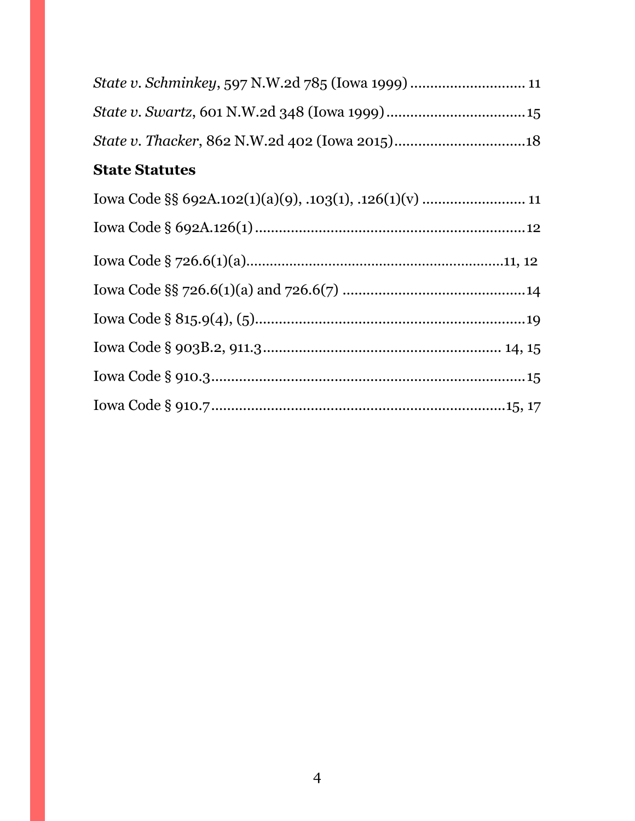| <b>State Statutes</b> |  |
|-----------------------|--|
|                       |  |
|                       |  |
|                       |  |
|                       |  |
|                       |  |
|                       |  |
|                       |  |
|                       |  |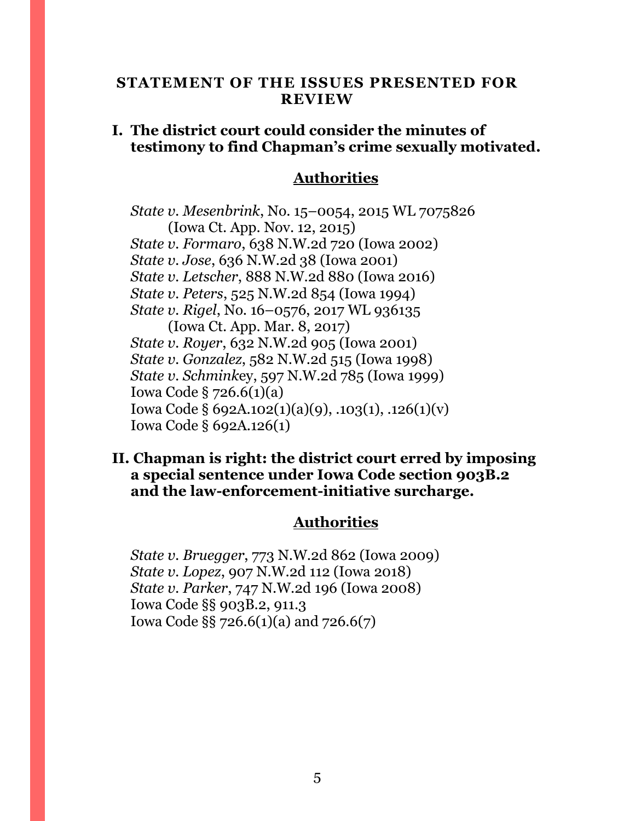### <span id="page-4-0"></span>**STATEMENT OF THE ISSUES PRESENTED FOR REVIEW**

# **I. The district court could consider the minutes of testimony to find Chapman's crime sexually motivated.**

# **Authorities**

*State v. Mesenbrink*, No. 15–0054, 2015 WL 7075826 (Iowa Ct. App. Nov. 12, 2015) *State v. Formaro*, 638 N.W.2d 720 (Iowa 2002) *State v. Jose*, 636 N.W.2d 38 (Iowa 2001) *State v. Letscher*, 888 N.W.2d 880 (Iowa 2016) *State v. Peters*, 525 N.W.2d 854 (Iowa 1994) *State v. Rigel*, No. 16–0576, 2017 WL 936135 (Iowa Ct. App. Mar. 8, 2017) *State v. Royer*, 632 N.W.2d 905 (Iowa 2001) *State v. Gonzalez*, 582 N.W.2d 515 (Iowa 1998) *State v. Schmink*ey, 597 N.W.2d 785 (Iowa 1999) Iowa Code § 726.6(1)(a) Iowa Code § 692A.102(1)(a)(9), .103(1), .126(1)(v) Iowa Code § 692A.126(1)

### **II. Chapman is right: the district court erred by imposing a special sentence under Iowa Code section 903B.2 and the law-enforcement-initiative surcharge.**

#### **Authorities**

*State v. Bruegger*, 773 N.W.2d 862 (Iowa 2009) *State v. Lopez*, 907 N.W.2d 112 (Iowa 2018) *State v. Parker*, 747 N.W.2d 196 (Iowa 2008) Iowa Code §§ 903B.2, 911.3 Iowa Code §§ 726.6(1)(a) and 726.6(7)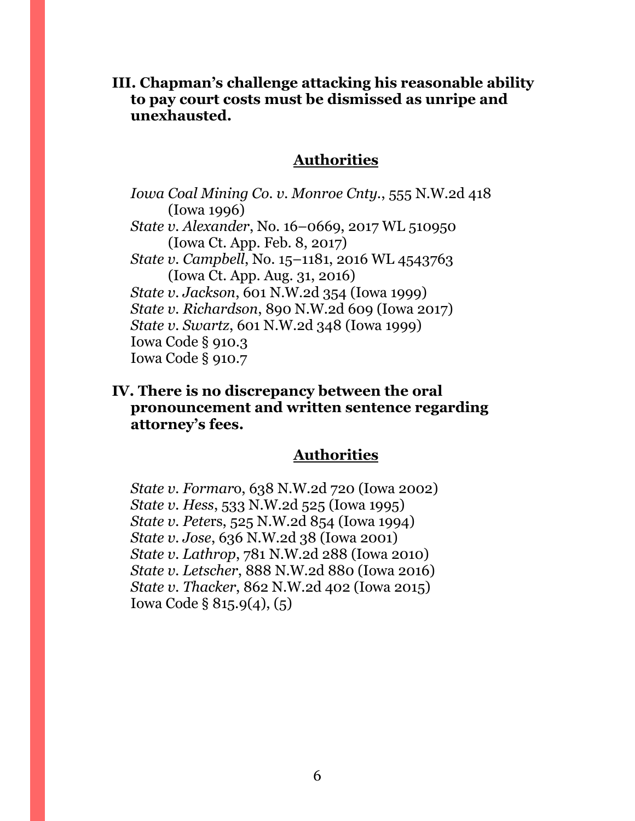**III. Chapman's challenge attacking his reasonable ability to pay court costs must be dismissed as unripe and unexhausted.**

### **Authorities**

*Iowa Coal Mining Co. v. Monroe Cnty.*, 555 N.W.2d 418 (Iowa 1996) *State v. Alexander*, No. 16–0669, 2017 WL 510950 (Iowa Ct. App. Feb. 8, 2017) *State v. Campbell*, No. 15–1181, 2016 WL 4543763 (Iowa Ct. App. Aug. 31, 2016) *State v. Jackson*, 601 N.W.2d 354 (Iowa 1999) *State v. Richardson*, 890 N.W.2d 609 (Iowa 2017) *State v. Swartz*, 601 N.W.2d 348 (Iowa 1999) Iowa Code § 910.3 Iowa Code § 910.7

## **IV. There is no discrepancy between the oral pronouncement and written sentence regarding attorney's fees.**

## **Authorities**

*State v. Formar*o, 638 N.W.2d 720 (Iowa 2002) *State v. Hess*, 533 N.W.2d 525 (Iowa 1995) *State v. Pete*rs, 525 N.W.2d 854 (Iowa 1994) *State v. Jose*, 636 N.W.2d 38 (Iowa 2001) *State v. Lathrop*, 781 N.W.2d 288 (Iowa 2010) *State v. Letscher*, 888 N.W.2d 880 (Iowa 2016) *State v. Thacker*, 862 N.W.2d 402 (Iowa 2015) Iowa Code § 815.9(4), (5)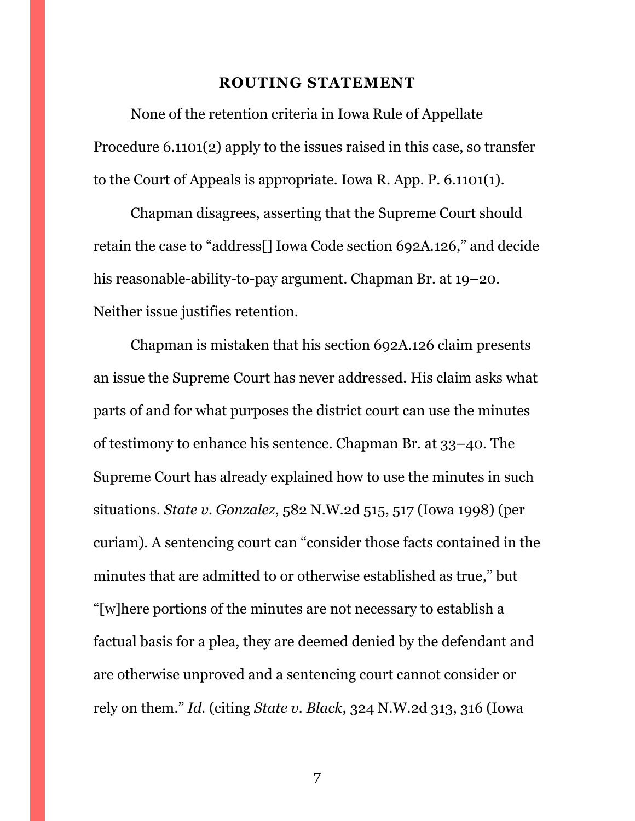#### **ROUTING STATEMENT**

<span id="page-6-0"></span>None of the retention criteria in Iowa Rule of Appellate Procedure 6.1101(2) apply to the issues raised in this case, so transfer to the Court of Appeals is appropriate. Iowa R. App. P. 6.1101(1).

Chapman disagrees, asserting that the Supreme Court should retain the case to "address[] Iowa Code section 692A.126," and decide his reasonable-ability-to-pay argument. Chapman Br. at 19–20. Neither issue justifies retention.

Chapman is mistaken that his section 692A.126 claim presents an issue the Supreme Court has never addressed. His claim asks what parts of and for what purposes the district court can use the minutes of testimony to enhance his sentence. Chapman Br. at 33–40. The Supreme Court has already explained how to use the minutes in such situations. *State v. Gonzalez*, 582 N.W.2d 515, 517 (Iowa 1998) (per curiam). A sentencing court can "consider those facts contained in the minutes that are admitted to or otherwise established as true," but "[w]here portions of the minutes are not necessary to establish a factual basis for a plea, they are deemed denied by the defendant and are otherwise unproved and a sentencing court cannot consider or rely on them." *Id.* (citing *State v. Black*, 324 N.W.2d 313, 316 (Iowa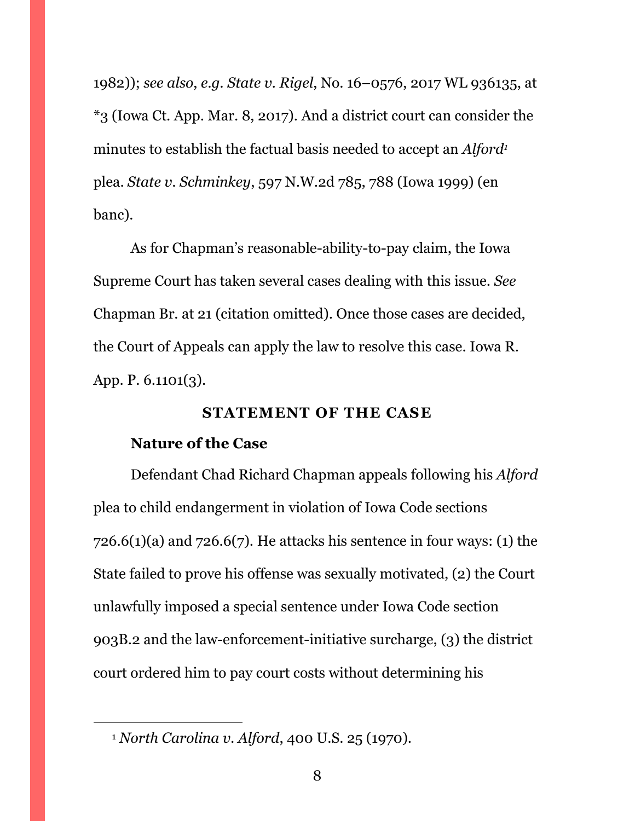1982)); *see also*, *e.g. State v. Rigel*, No. 16–0576, 2017 WL 936135, at \*3 (Iowa Ct. App. Mar. 8, 2017). And a district court can consider the minutes to establish the factual basis needed to accept an *Alford<sup>1</sup>* plea. *State v. Schminkey*, 597 N.W.2d 785, 788 (Iowa 1999) (en banc).

As for Chapman's reasonable-ability-to-pay claim, the Iowa Supreme Court has taken several cases dealing with this issue. *See*  Chapman Br. at 21 (citation omitted). Once those cases are decided, the Court of Appeals can apply the law to resolve this case. Iowa R. App. P. 6.1101(3).

### **STATEMENT OF THE CASE**

### <span id="page-7-0"></span>**Nature of the Case**

 $\overline{a}$ 

Defendant Chad Richard Chapman appeals following his *Alford* plea to child endangerment in violation of Iowa Code sections  $726.6(1)(a)$  and  $726.6(7)$ . He attacks his sentence in four ways: (1) the State failed to prove his offense was sexually motivated, (2) the Court unlawfully imposed a special sentence under Iowa Code section 903B.2 and the law-enforcement-initiative surcharge, (3) the district court ordered him to pay court costs without determining his

<sup>1</sup> *North Carolina v. Alford*, 400 U.S. 25 (1970).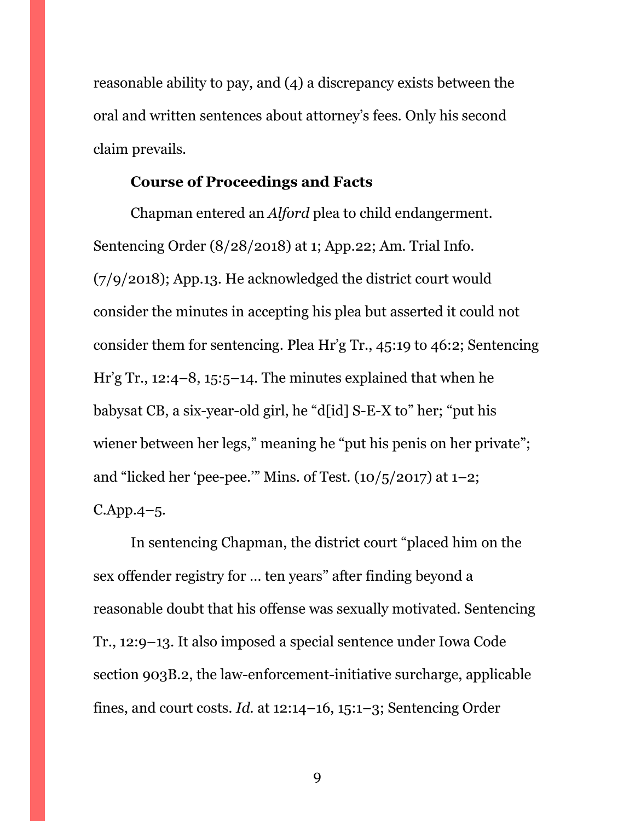reasonable ability to pay, and (4) a discrepancy exists between the oral and written sentences about attorney's fees. Only his second claim prevails.

### **Course of Proceedings and Facts**

Chapman entered an *Alford* plea to child endangerment. Sentencing Order (8/28/2018) at 1; App.22; Am. Trial Info. (7/9/2018); App.13. He acknowledged the district court would consider the minutes in accepting his plea but asserted it could not consider them for sentencing. Plea Hr'g Tr., 45:19 to 46:2; Sentencing Hr'g Tr., 12:4–8, 15:5–14. The minutes explained that when he babysat CB, a six-year-old girl, he "d[id] S-E-X to" her; "put his wiener between her legs," meaning he "put his penis on her private"; and "licked her 'pee-pee." Mins. of Test.  $(10/5/2017)$  at  $1-2$ ; C.App.4–5.

In sentencing Chapman, the district court "placed him on the sex offender registry for … ten years" after finding beyond a reasonable doubt that his offense was sexually motivated. Sentencing Tr., 12:9–13. It also imposed a special sentence under Iowa Code section 903B.2, the law-enforcement-initiative surcharge, applicable fines, and court costs. *Id.* at 12:14–16, 15:1–3; Sentencing Order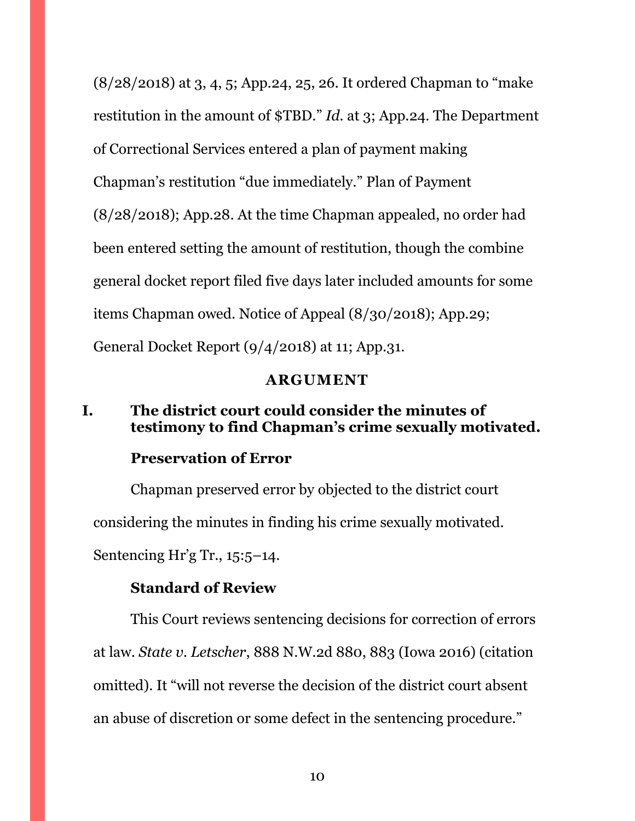(8/28/2018) at 3, 4, 5; App.24, 25, 26. It ordered Chapman to "make restitution in the amount of \$TBD." *Id.* at 3; App.24. The Department of Correctional Services entered a plan of payment making Chapman's restitution "due immediately." Plan of Payment (8/28/2018); App.28. At the time Chapman appealed, no order had been entered setting the amount of restitution, though the combine general docket report filed five days later included amounts for some items Chapman owed. Notice of Appeal (8/30/2018); App.29; General Docket Report (9/4/2018) at 11; App.31.

#### **ARGUMENT**

# <span id="page-9-1"></span><span id="page-9-0"></span>**I. The district court could consider the minutes of testimony to find Chapman's crime sexually motivated.**

### **Preservation of Error**

Chapman preserved error by objected to the district court considering the minutes in finding his crime sexually motivated. Sentencing Hr'g Tr., 15:5–14.

### **Standard of Review**

This Court reviews sentencing decisions for correction of errors at law. *State v. Letscher*, 888 N.W.2d 880, 883 (Iowa 2016) (citation omitted). It "will not reverse the decision of the district court absent an abuse of discretion or some defect in the sentencing procedure."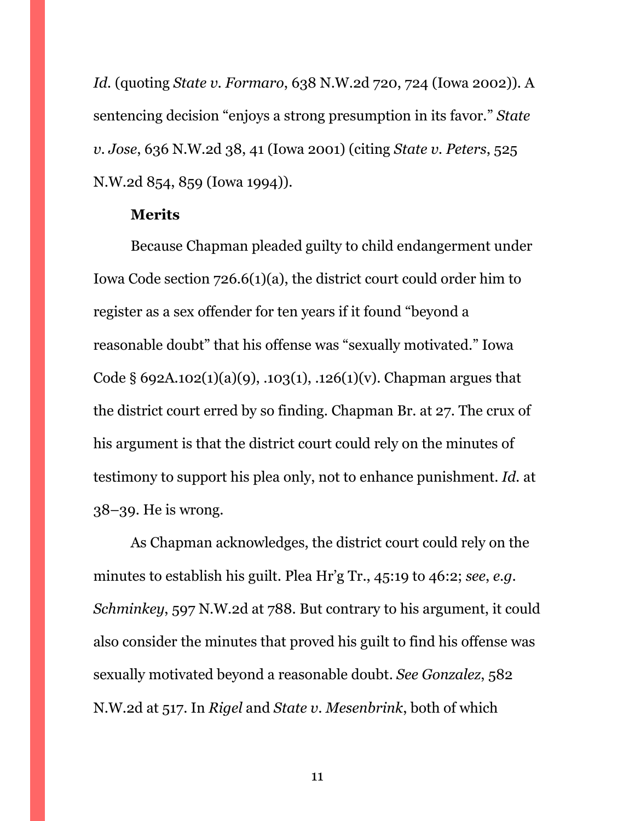*Id.* (quoting *State v. Formaro*, 638 N.W.2d 720, 724 (Iowa 2002)). A sentencing decision "enjoys a strong presumption in its favor." *State v. Jose*, 636 N.W.2d 38, 41 (Iowa 2001) (citing *State v. Peters*, 525 N.W.2d 854, 859 (Iowa 1994)).

#### **Merits**

Because Chapman pleaded guilty to child endangerment under Iowa Code section 726.6(1)(a), the district court could order him to register as a sex offender for ten years if it found "beyond a reasonable doubt" that his offense was "sexually motivated." Iowa Code § 692A.102(1)(a)(9), .103(1), .126(1)(v). Chapman argues that the district court erred by so finding. Chapman Br. at 27. The crux of his argument is that the district court could rely on the minutes of testimony to support his plea only, not to enhance punishment. *Id.* at 38–39. He is wrong.

As Chapman acknowledges, the district court could rely on the minutes to establish his guilt. Plea Hr'g Tr., 45:19 to 46:2; *see*, *e.g. Schminkey*, 597 N.W.2d at 788. But contrary to his argument, it could also consider the minutes that proved his guilt to find his offense was sexually motivated beyond a reasonable doubt. *See Gonzalez*, 582 N.W.2d at 517. In *Rigel* and *State v. Mesenbrink*, both of which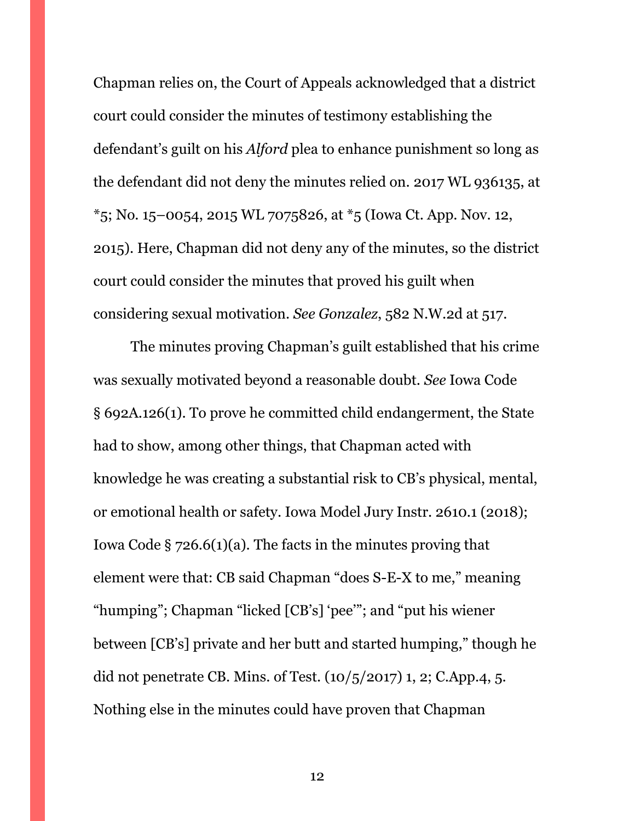Chapman relies on, the Court of Appeals acknowledged that a district court could consider the minutes of testimony establishing the defendant's guilt on his *Alford* plea to enhance punishment so long as the defendant did not deny the minutes relied on. 2017 WL 936135, at  $*$ 5; No. 15–0054, 2015 WL 7075826, at  $*$ 5 (Iowa Ct. App. Nov. 12, 2015). Here, Chapman did not deny any of the minutes, so the district court could consider the minutes that proved his guilt when considering sexual motivation. *See Gonzalez*, 582 N.W.2d at 517.

The minutes proving Chapman's guilt established that his crime was sexually motivated beyond a reasonable doubt. *See* Iowa Code § 692A.126(1). To prove he committed child endangerment, the State had to show, among other things, that Chapman acted with knowledge he was creating a substantial risk to CB's physical, mental, or emotional health or safety. Iowa Model Jury Instr. 2610.1 (2018); Iowa Code  $\S$  726.6(1)(a). The facts in the minutes proving that element were that: CB said Chapman "does S-E-X to me," meaning "humping"; Chapman "licked [CB's] 'pee'"; and "put his wiener between [CB's] private and her butt and started humping," though he did not penetrate CB. Mins. of Test.  $(10/5/2017)$  1, 2; C.App.4, 5. Nothing else in the minutes could have proven that Chapman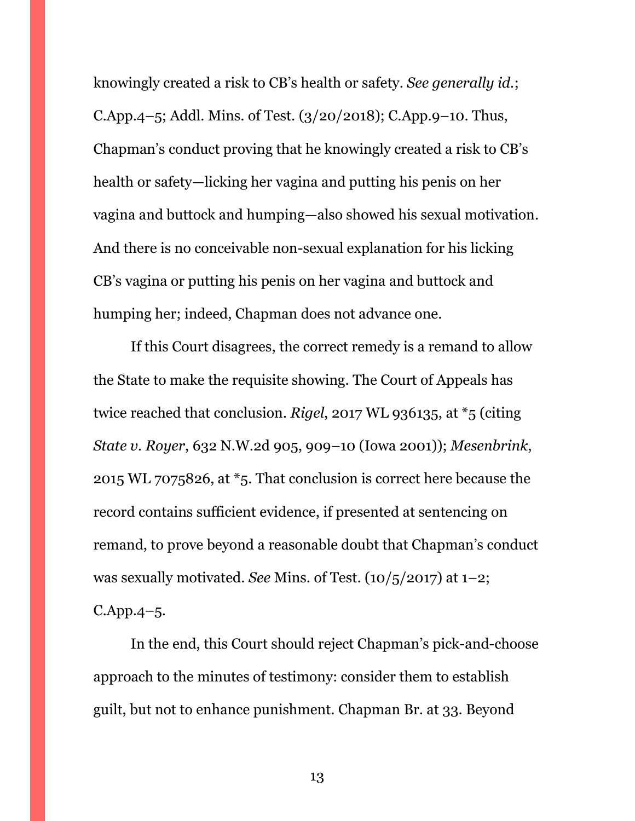knowingly created a risk to CB's health or safety. *See generally id.*; C.App.4–5; Addl. Mins. of Test. (3/20/2018); C.App.9–10. Thus, Chapman's conduct proving that he knowingly created a risk to CB's health or safety—licking her vagina and putting his penis on her vagina and buttock and humping—also showed his sexual motivation. And there is no conceivable non-sexual explanation for his licking CB's vagina or putting his penis on her vagina and buttock and humping her; indeed, Chapman does not advance one.

If this Court disagrees, the correct remedy is a remand to allow the State to make the requisite showing. The Court of Appeals has twice reached that conclusion. *Rigel*, 2017 WL 936135, at \*5 (citing *State v. Royer*, 632 N.W.2d 905, 909–10 (Iowa 2001)); *Mesenbrink*, 2015 WL 7075826, at \*5. That conclusion is correct here because the record contains sufficient evidence, if presented at sentencing on remand, to prove beyond a reasonable doubt that Chapman's conduct was sexually motivated. *See* Mins. of Test. (10/5/2017) at 1–2; C.App.4–5.

In the end, this Court should reject Chapman's pick-and-choose approach to the minutes of testimony: consider them to establish guilt, but not to enhance punishment. Chapman Br. at 33. Beyond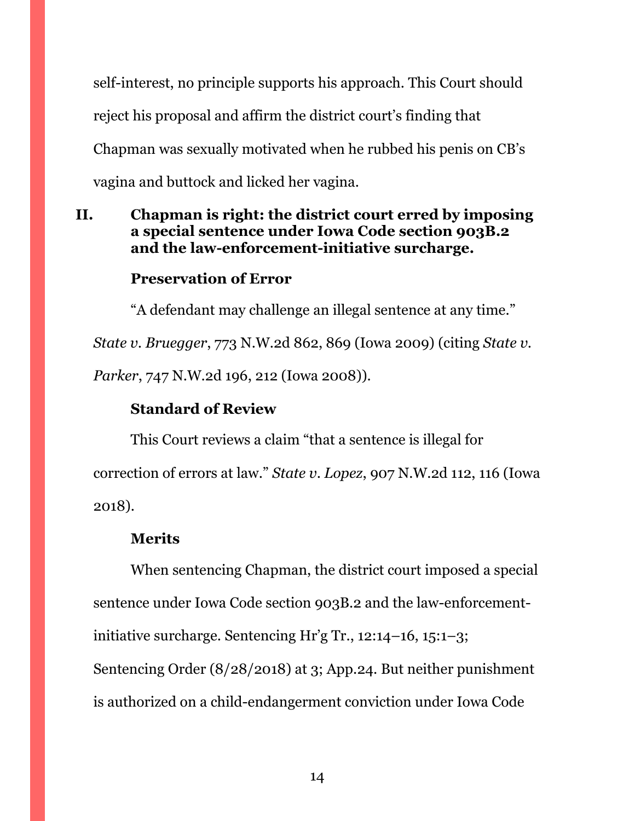self-interest, no principle supports his approach. This Court should reject his proposal and affirm the district court's finding that Chapman was sexually motivated when he rubbed his penis on CB's vagina and buttock and licked her vagina.

# <span id="page-13-0"></span>**II. Chapman is right: the district court erred by imposing a special sentence under Iowa Code section 903B.2 and the law-enforcement-initiative surcharge.**

# **Preservation of Error**

"A defendant may challenge an illegal sentence at any time."

*State v. Bruegger*, 773 N.W.2d 862, 869 (Iowa 2009) (citing *State v.* 

*Parker*, 747 N.W.2d 196, 212 (Iowa 2008)).

# **Standard of Review**

This Court reviews a claim "that a sentence is illegal for correction of errors at law." *State v. Lopez*, 907 N.W.2d 112, 116 (Iowa 2018).

# **Merits**

When sentencing Chapman, the district court imposed a special sentence under Iowa Code section 903B.2 and the law-enforcementinitiative surcharge. Sentencing Hr'g Tr., 12:14–16, 15:1–3; Sentencing Order (8/28/2018) at 3; App.24. But neither punishment is authorized on a child-endangerment conviction under Iowa Code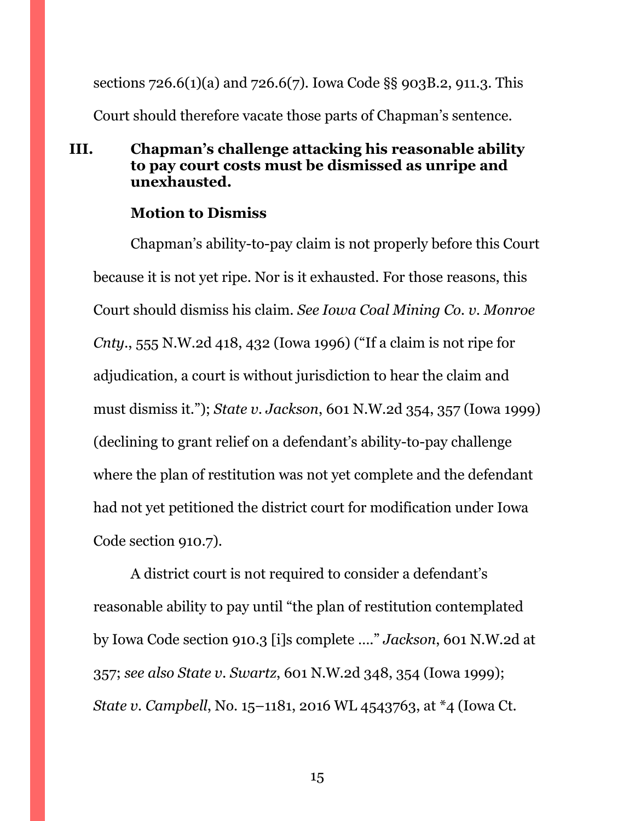sections 726.6(1)(a) and 726.6(7). Iowa Code §§ 903B.2, 911.3. This Court should therefore vacate those parts of Chapman's sentence.

# <span id="page-14-0"></span>**III. Chapman's challenge attacking his reasonable ability to pay court costs must be dismissed as unripe and unexhausted.**

## **Motion to Dismiss**

Chapman's ability-to-pay claim is not properly before this Court because it is not yet ripe. Nor is it exhausted. For those reasons, this Court should dismiss his claim. *See Iowa Coal Mining Co. v. Monroe Cnty.*, 555 N.W.2d 418, 432 (Iowa 1996) ("If a claim is not ripe for adjudication, a court is without jurisdiction to hear the claim and must dismiss it."); *State v. Jackson*, 601 N.W.2d 354, 357 (Iowa 1999) (declining to grant relief on a defendant's ability-to-pay challenge where the plan of restitution was not yet complete and the defendant had not yet petitioned the district court for modification under Iowa Code section 910.7).

A district court is not required to consider a defendant's reasonable ability to pay until "the plan of restitution contemplated by Iowa Code section 910.3 [i]s complete …." *Jackson*, 601 N.W.2d at 357; *see also State v. Swartz*, 601 N.W.2d 348, 354 (Iowa 1999); *State v. Campbell*, No. 15–1181, 2016 WL 4543763, at \*4 (Iowa Ct.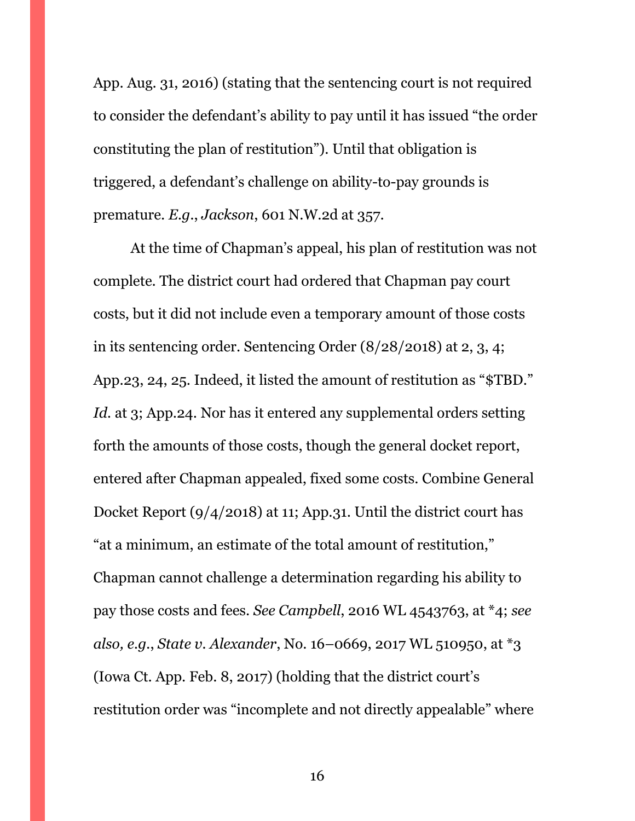App. Aug. 31, 2016) (stating that the sentencing court is not required to consider the defendant's ability to pay until it has issued "the order constituting the plan of restitution"). Until that obligation is triggered, a defendant's challenge on ability-to-pay grounds is premature. *E.g.*, *Jackson*, 601 N.W.2d at 357.

At the time of Chapman's appeal, his plan of restitution was not complete. The district court had ordered that Chapman pay court costs, but it did not include even a temporary amount of those costs in its sentencing order. Sentencing Order (8/28/2018) at 2, 3, 4; App.23, 24, 25. Indeed, it listed the amount of restitution as "\$TBD." Id. at 3; App.24. Nor has it entered any supplemental orders setting forth the amounts of those costs, though the general docket report, entered after Chapman appealed, fixed some costs. Combine General Docket Report (9/4/2018) at 11; App.31. Until the district court has "at a minimum, an estimate of the total amount of restitution," Chapman cannot challenge a determination regarding his ability to pay those costs and fees. *See Campbell*, 2016 WL 4543763, at \*4; *see also, e.g.*, *State v. Alexander*, No. 16–0669, 2017 WL 510950, at \*3 (Iowa Ct. App. Feb. 8, 2017) (holding that the district court's restitution order was "incomplete and not directly appealable" where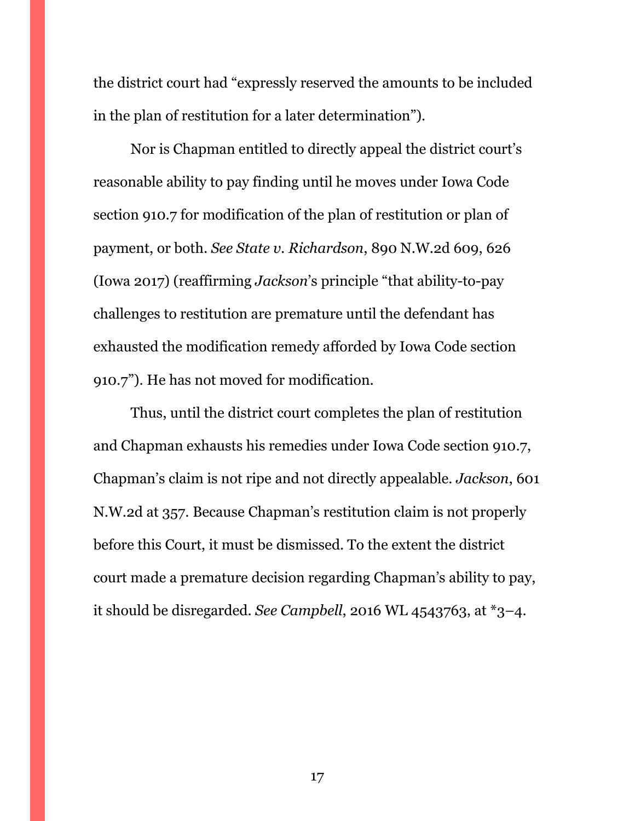the district court had "expressly reserved the amounts to be included in the plan of restitution for a later determination").

Nor is Chapman entitled to directly appeal the district court's reasonable ability to pay finding until he moves under Iowa Code section 910.7 for modification of the plan of restitution or plan of payment, or both. *See State v. Richardson*, 890 N.W.2d 609, 626 (Iowa 2017) (reaffirming *Jackson*'s principle "that ability-to-pay challenges to restitution are premature until the defendant has exhausted the modification remedy afforded by Iowa Code section 910.7"). He has not moved for modification.

Thus, until the district court completes the plan of restitution and Chapman exhausts his remedies under Iowa Code section 910.7, Chapman's claim is not ripe and not directly appealable. *Jackson*, 601 N.W.2d at 357. Because Chapman's restitution claim is not properly before this Court, it must be dismissed. To the extent the district court made a premature decision regarding Chapman's ability to pay, it should be disregarded. *See Campbell*, 2016 WL 4543763, at \*3–4.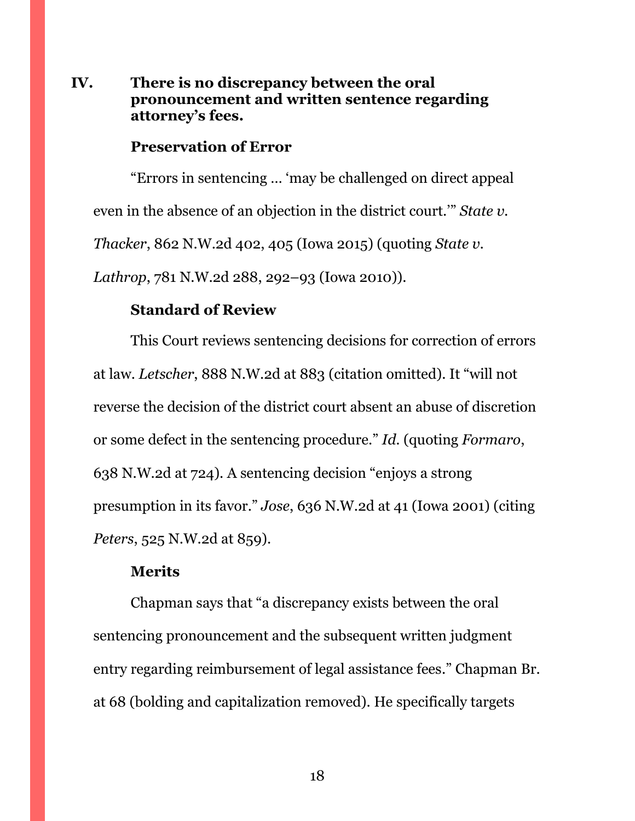# <span id="page-17-0"></span>**IV. There is no discrepancy between the oral pronouncement and written sentence regarding attorney's fees.**

### **Preservation of Error**

"Errors in sentencing … 'may be challenged on direct appeal even in the absence of an objection in the district court.'" *State v. Thacker*, 862 N.W.2d 402, 405 (Iowa 2015) (quoting *State v. Lathrop*, 781 N.W.2d 288, 292–93 (Iowa 2010)).

### **Standard of Review**

This Court reviews sentencing decisions for correction of errors at law. *Letscher*, 888 N.W.2d at 883 (citation omitted). It "will not reverse the decision of the district court absent an abuse of discretion or some defect in the sentencing procedure." *Id.* (quoting *Formaro*, 638 N.W.2d at 724). A sentencing decision "enjoys a strong presumption in its favor." *Jose*, 636 N.W.2d at 41 (Iowa 2001) (citing *Peters*, 525 N.W.2d at 859).

### **Merits**

Chapman says that "a discrepancy exists between the oral sentencing pronouncement and the subsequent written judgment entry regarding reimbursement of legal assistance fees." Chapman Br. at 68 (bolding and capitalization removed). He specifically targets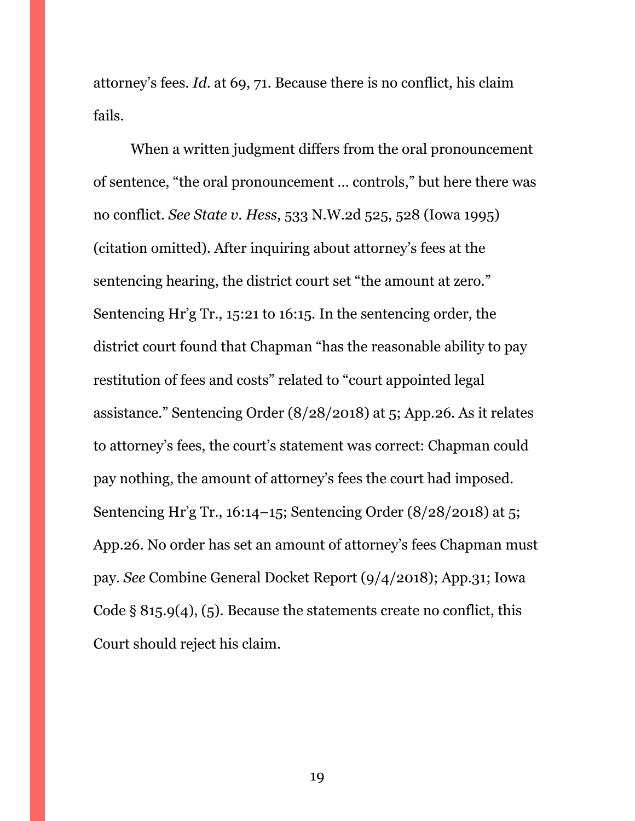attorney's fees. *Id.* at 69, 71. Because there is no conflict, his claim fails.

When a written judgment differs from the oral pronouncement of sentence, "the oral pronouncement … controls," but here there was no conflict. *See State v. Hess*, 533 N.W.2d 525, 528 (Iowa 1995) (citation omitted). After inquiring about attorney's fees at the sentencing hearing, the district court set "the amount at zero." Sentencing Hr'g Tr., 15:21 to 16:15. In the sentencing order, the district court found that Chapman "has the reasonable ability to pay restitution of fees and costs" related to "court appointed legal assistance." Sentencing Order (8/28/2018) at 5; App.26. As it relates to attorney's fees, the court's statement was correct: Chapman could pay nothing, the amount of attorney's fees the court had imposed. Sentencing Hr'g Tr., 16:14–15; Sentencing Order (8/28/2018) at 5; App.26. No order has set an amount of attorney's fees Chapman must pay. *See* Combine General Docket Report (9/4/2018); App.31; Iowa Code § 815.9(4), (5). Because the statements create no conflict, this Court should reject his claim.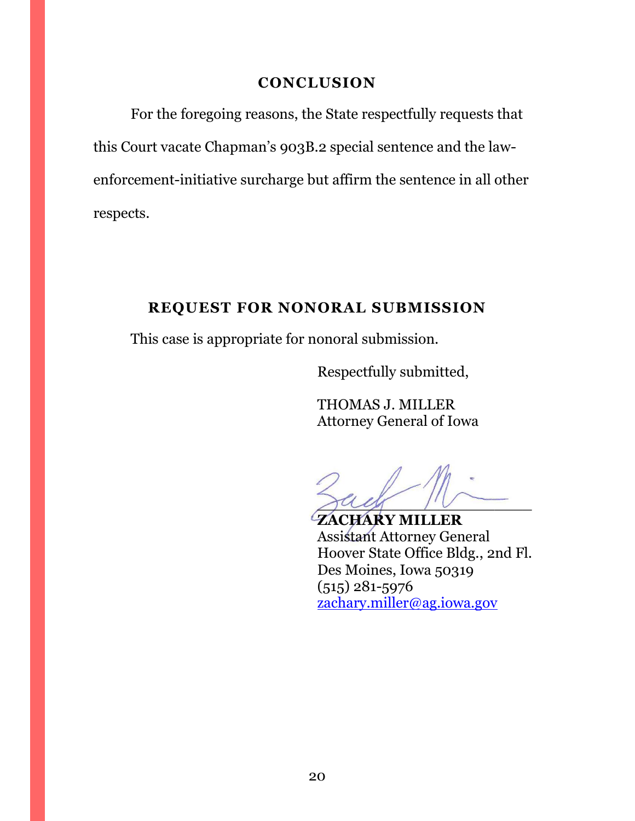### **CONCLUSION**

<span id="page-19-0"></span>For the foregoing reasons, the State respectfully requests that this Court vacate Chapman's 903B.2 special sentence and the lawenforcement-initiative surcharge but affirm the sentence in all other respects.

# **REQUEST FOR NONORAL SUBMISSION**

<span id="page-19-1"></span>This case is appropriate for nonoral submission.

Respectfully submitted,

THOMAS J. MILLER Attorney General of Iowa

 $\frac{3}{4}$ 

**ZACHARY MILLER** Assistant Attorney General Hoover State Office Bldg., 2nd Fl. Des Moines, Iowa 50319 (515) 281-5976 [zachary.miller@ag.iowa.gov](mailto:zachary.miller@ag.iowa.gov)